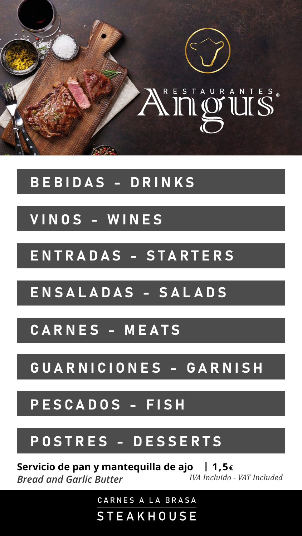

# <span id="page-0-0"></span>NIPOUIS

## [BEBIDAS - DRINKS](#page-1-0)

## VINOS - WINES

## [ENTRADAS - STARTERS](#page-4-0)

## [ENSALADAS - SALADS](#page-4-0)

# [GUARNICIONES - GARNISH](#page-8-0)

## PESCADOS - FISH

#### [POSTRES - DESSERTS](#page-9-0)

## [CARNES - MEATS](#page-5-0)

#### **Servicio de pan y mantequilla de ajo | 1,5€** *Bread and Garlic Butter IVA Incluido - VAT Included*

CARNES A LA BRASA

STEAKHOUSE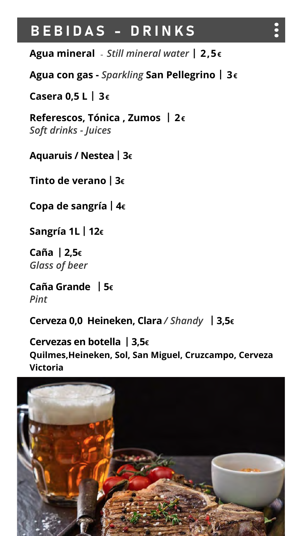## <span id="page-1-0"></span>BEBIDAS - DRINKS

**Agua mineral** - *Still mineral water* **| 2,5€** 

- **Agua con gas** *Sparkling* **San Pellegrino | 3€**
- **Casera 0,5 L | 3€**
- **Referescos, Tónica , Zumos | 2€** *Soft drinks - Juices*
- **Aquaruis / Nestea| 3€**
- **Tinto de verano | 3€**
- **Copa de sangría | 4€**

**Sangría 1L | 12€**

**Caña | 2,5€** *Glass of beer*

#### **Caña Grande | 5€** *Pint*

#### **Cerveza 0,0 Heineken, Clara** */ Shandy* **| 3,5€**

**Cervezas en botella | 3,5€ Quilmes,Heineken, Sol, San Miguel, Cruzcampo, Cerveza Victoria** 

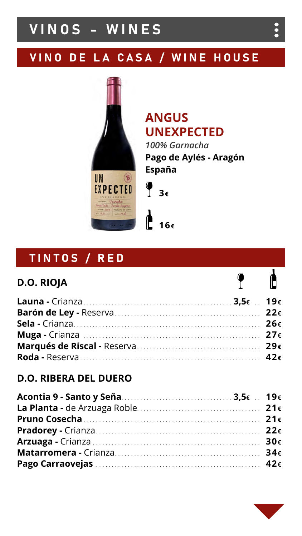## <span id="page-2-0"></span>VINOS - WINES

## VINO DE LA CASA / WINE HOUSE

## TINTOS / RED

#### **D.O. RIOJA**



 $\bullet$ 

 $\bullet$ 

## **ANGUS UNEXPECTED**



*100% Garnacha* **Pago de Aylés - Aragón España**



| Acontia 9 - Santo y Seña Mariano e a un artico 3,5€ 19€ |  |
|---------------------------------------------------------|--|
|                                                         |  |
|                                                         |  |
|                                                         |  |

| Matarromera - Crianza |  |
|-----------------------|--|
|                       |  |



#### **D.O. RIBERA DEL DUERO**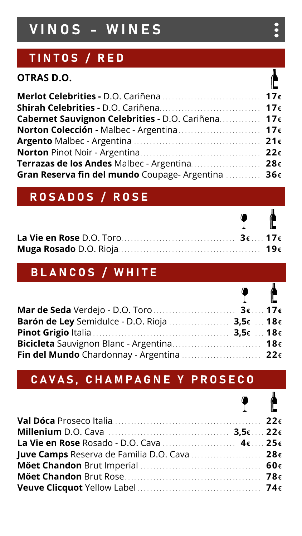| Merlot Celebrities - D.O. Cariñena  17€            |  |
|----------------------------------------------------|--|
|                                                    |  |
| Cabernet Sauvignon Celebrities - D.O. Cariñena 17€ |  |
|                                                    |  |
|                                                    |  |
|                                                    |  |
| Terrazas de los Andes Malbec - Argentina 28€       |  |
| Gran Reserva fin del mundo Coupage-Argentina  36€  |  |

| La Vie en Rose D.O. Toro                           |  |
|----------------------------------------------------|--|
| Muga Rosado D.O. Rioja <b>Maria Alexandria</b> 19€ |  |

#### **OTRAS D.O.**

# VINOS - WINES

## TINTOS / RED

#### ROSADOS / ROSE

 $\bullet$  $\bullet$ 

 $\sqrt{ }$ 

Г

 $\overline{a}$ 

 $\bullet$ 

## BLANCOS / WHITE

| $\mathbf{1}$ and $\mathbf{1}$ and $\mathbf{1}$ and $\mathbf{1}$ and $\mathbf{1}$ and $\mathbf{1}$ and $\mathbf{1}$ and $\mathbf{1}$ and $\mathbf{1}$ and $\mathbf{1}$ and $\mathbf{1}$ and $\mathbf{1}$ and $\mathbf{1}$ and $\mathbf{1}$ and $\mathbf{1}$ and $\mathbf{1}$ and $\mathbf{1}$ and |  |
|--------------------------------------------------------------------------------------------------------------------------------------------------------------------------------------------------------------------------------------------------------------------------------------------------|--|
| Mar de Seda Verdejo - D.O. Toro                                                                                                                                                                                                                                                                  |  |
| Barón de Ley Semidulce - D.O. Rioja  3,5 $\varepsilon$ 18 $\varepsilon$                                                                                                                                                                                                                          |  |
|                                                                                                                                                                                                                                                                                                  |  |
| Bicicleta Sauvignon Blanc - Argentina 18€                                                                                                                                                                                                                                                        |  |
| Fin del Mundo Chardonnay - Argentina  22€                                                                                                                                                                                                                                                        |  |

#### C A V A S, C H A M P A G N E Y P R O S E C O

|                                                                                                                 | $\mathbf{L}$ and $\mathbf{L}$ and $\mathbf{L}$ |  |
|-----------------------------------------------------------------------------------------------------------------|------------------------------------------------|--|
|                                                                                                                 |                                                |  |
| Millenium D.O. Cava <i>Alertaire Communication</i> 2000 Millenium D.O. Cava Alertanian Alertanian 22 $\epsilon$ |                                                |  |

| La Vie en Rose Rosado - D.O. Cava $4 \epsilon$ 25 $\epsilon$ |  |
|--------------------------------------------------------------|--|
| Juve Camps Reserva de Familia D.O. Cava  28€                 |  |
|                                                              |  |
|                                                              |  |
|                                                              |  |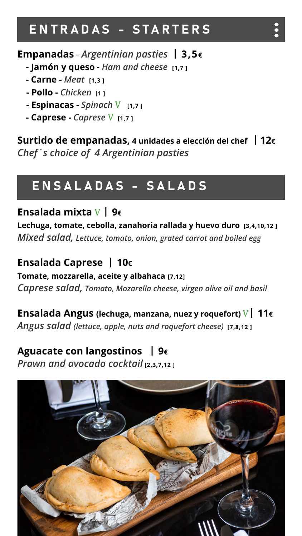## <span id="page-4-0"></span>ENTRADAS - STARTERS

**Empanadas** - *Argentinian pasties* **| 3,5€**

- **Jamón y queso** *Ham and cheese* **[1,7 ]**
- **- Carne** *Meat* **[1,3 ]**
- **- Pollo -** *Chicken* **[1 ]**
- **Espinacas -** *Spinach* V **[1,7 ]**
- **Caprese -** *Caprese* V **[1,7 ]**

**Surtido de empanadas, 4 unidades a elección del chef | 12€** *Chef´s choice of 4 Argentinian pasties*

## ENSALADAS - SALADS

**Ensalada mixta** V **| 9€**

**Lechuga, tomate, cebolla, zanahoria rallada y huevo duro [3,4,10,12 ]**  *Mixed salad, Lettuce, tomato, onion, grated carrot and boiled egg*

#### **Ensalada Caprese | 10€**

**Tomate, mozzarella, aceite y albahaca [7,12]**

*Caprese salad, Tomato, Mozarella cheese, virgen olive oil and basil*

**Ensalada Angus (lechuga, manzana, nuez y roquefort)** V**| 11€** *Angus salad (lettuce, apple, nuts and roquefort cheese)* **[7,8,12 ]**

#### **Aguacate con langostinos | 9€** *Prawn and avocado cocktail* **[2,3,7,12 ]**

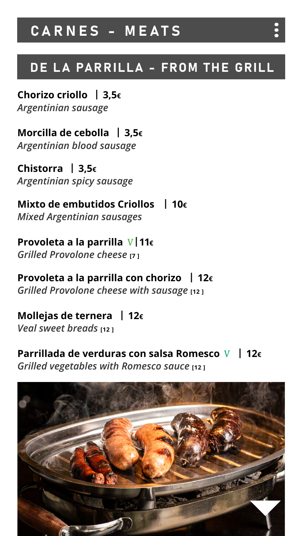**Chorizo criollo | 3,5€** *Argentinian sausage*

**Morcilla de cebolla | 3,5€** *Argentinian blood sausage*

**Chistorra | 3,5€** *Argentinian spicy sausage*

#### **Provoleta a la parrilla con chorizo | 12€ Grilled Provolone cheese with sausage** [12 ]

#### **Mixto de embutidos Criollos | 10€**

*Mixed Argentinian sausages*

#### **Parrillada de verduras con salsa Romesco** V **| 12€** *Grilled vegetables with Romesco sauce* [12 ]



#### **Provoleta a la parrilla** V**|11€** *Grilled Provolone cheese* **[7 ]**

**Mollejas de ternera | 12€** *Veal sweet breads* **[12 ]**

## <span id="page-5-0"></span>CARNES - MEATS

DE LA PARRILLA - FROM THE GRILL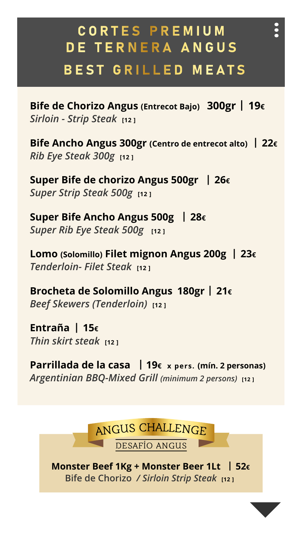C O R T E S P R E M I U M DE TERNERA ANGUS BEST GRILLED MEATS

**Bife de Chorizo Angus (Entrecot Bajo) 300gr | 19€ Sirloin - Strip Steak** [12 ]

**Super Bife de chorizo Angus 500gr | 26€ Super Strip Steak 500g [12]** 

**Bife Ancho Angus 300gr (Centro de entrecot alto) | 22€** *Rib Eye Steak 300g* **[12 ]**

**Super Bife Ancho Angus 500g | 28€**

**Super Rib Eye Steak 500g** [12]

#### **Monster Beef 1Kg + Monster Beer 1Lt | 52€ Bife de Chorizo / Sirloin Strip Steak** [12]



 $\bullet$ 

**Lomo (Solomillo) Filet mignon Angus 200g | 23€** *Tenderloin- Filet Steak* **[12 ]**

**Brocheta de Solomillo Angus 180gr | 21€** *Beef Skewers (Tenderloin)* **[12 ]**

**Entraña | 15€** *Thin skirt steak* **[12 ]**

**Parrillada de la casa | 19€ x pers. (mín. 2 personas)** *Argentinian BBQ-Mixed Grill (minimum 2 persons)* **[12 ]**

#### JS CHALLENGF. ANGU

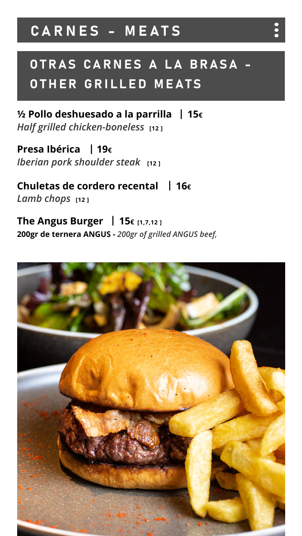**Presa Ibérica | 19€** *Iberian pork shoulder steak* [12]

#### **Chuletas de cordero recental | 16€** *Lamb chops* **[12 ]**

# OTRAS CARNES A LA BRASA -OTHER GRILLED MEATS

**½ Pollo deshuesado a la parrilla | 15€ Half grilled chicken-boneless** [12 ]

#### **The Angus Burger | 15€ [1,7,12 ] 200gr de ternera ANGUS -** *200gr of grilled ANGUS beef,*



## CARNES - MEATS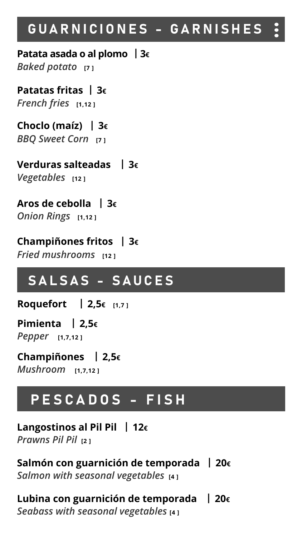#### **Langostinos al Pil Pil | 12€**

#### **Salmón con guarnición de temporada | 20€ Salmon with seasonal vegetables** [4]

#### *Prawns Pil Pil* **[2 ]**

#### **Lubina con guarnición de temporada | 20€ Seabass with seasonal vegetables** [4]

# PESCADOS - FISH

**Patata asada o al plomo | 3€** *Baked potato* **[7 ]**

#### <span id="page-8-0"></span> $\begin{array}{c} \bullet \\ \bullet \\ \bullet \end{array}$ GUARNICIONES - GARNISHE[S](#page-0-0)

**Patatas fritas | 3€** *French fries* **[1,12 ]**

**Choclo (maíz) | 3€** *BBQ Sweet Corn* **[7 ]**

**Verduras salteadas | 3€** *Vegetables* **[12 ]**

#### **Aros de cebolla | 3€** *Onion Rings* **[1,12 ]**

#### **Champiñones fritos | 3€**

**Fried mushrooms [12]** 

## SALSAS - SAUCES

**Roquefort | 2,5€ [1,7 ]**

**Pimienta | 2,5€**

*Pepper* **[1,7,12 ]**

**Champiñones | 2,5€**  *Mushroom* **[1,7,12 ]**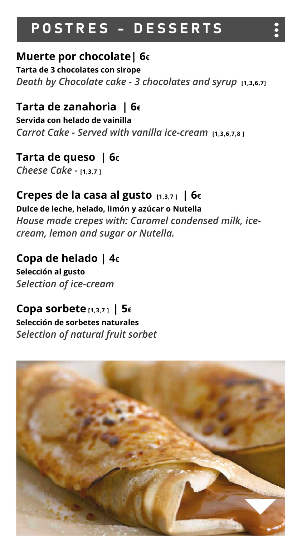# <span id="page-9-0"></span>POSTRES - DESSERTS

**Tarta de 3 chocolates con sirope** *Death by Chocolate cake - 3 chocolates and syrup* **[1,3,6,7]** 

## **Muerte por chocolate| 6€**

#### **Tarta de zanahoria | 6€**

**Servida con helado de vainilla** *Carrot Cake - Served with vanilla ice-cream* **[1,3,6,7,8 ]** 

#### **Tarta de queso | 6€** *Cheese Cake -* **[1,3,7 ]**

## **Crepes de la casa al gusto [1,3,7 ] | 6€**

**Dulce de leche, helado, limón y azúcar o Nutella**

*House made crepes with: Caramel condensed milk, icecream, lemon and sugar or Nutella.*

#### **Copa de helado | 4€**

**Selección al gusto**  *Selection of ice-cream*

#### **Copa sorbete [1,3,7 ] | 5€ Selección de sorbetes naturales** *Selection of natural fruit sorbet*